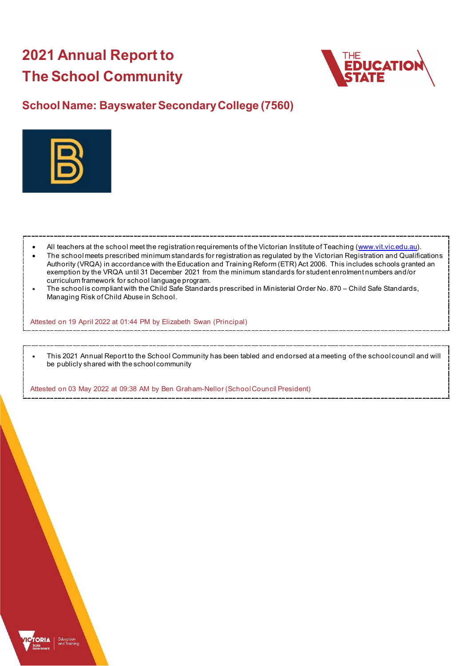# **2021 Annual Report to The School Community**



## **School Name: Bayswater Secondary College (7560)**



- All teachers at the school meet the registration requirements of the Victorian Institute of Teaching [\(www.vit.vic.edu.au\)](https://www.vit.vic.edu.au/).
- The school meets prescribed minimum standards for registration as regulated by the Victorian Registration and Qualifications Authority (VRQA) in accordance with the Education and Training Reform (ETR) Act 2006. This includes schools granted an exemption by the VRQA until 31 December 2021 from the minimum standards for student enrolment numbers and/or curriculum framework for school language program.
- The school is compliant with the Child Safe Standards prescribed in Ministerial Order No. 870 Child Safe Standards, Managing Risk of Child Abuse in School.

Attested on 19 April 2022 at 01:44 PM by Elizabeth Swan (Principal)

• This 2021 Annual Report to the School Community has been tabled and endorsed at a meeting of the school council and will be publicly shared with the school community

Attested on 03 May 2022 at 09:38 AM by Ben Graham-Nellor (School Council President)

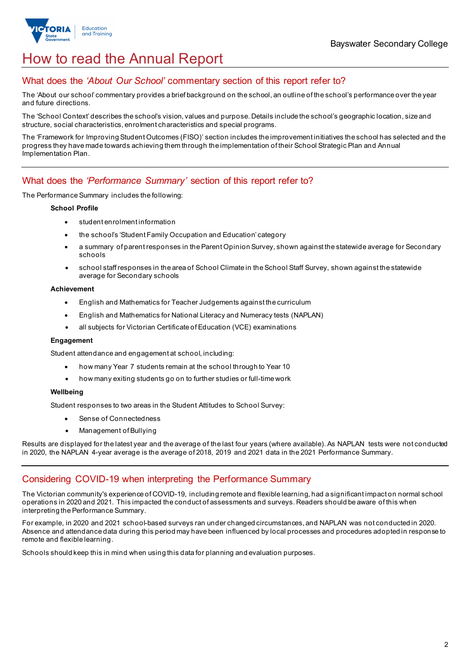

## How to read the Annual Report

## What does the *'About Our School'* commentary section of this report refer to?

The 'About our school' commentary provides a brief background on the school, an outline of the school's performance over the year and future directions.

The 'School Context' describes the school's vision, values and purpose. Details include the school's geographic location, size and structure, social characteristics, enrolment characteristics and special programs.

The 'Framework for Improving Student Outcomes (FISO)' section includes the improvement initiatives the school has selected and the progress they have made towards achieving them through the implementation of their School Strategic Plan and Annual Implementation Plan.

### What does the *'Performance Summary'* section of this report refer to?

The Performance Summary includes the following:

#### **School Profile**

- student enrolment information
- the school's 'Student Family Occupation and Education' category
- a summary of parent responses in the Parent Opinion Survey, shown against the statewide average for Secondary schools
- school staff responses in the area of School Climate in the School Staff Survey, shown against the statewide average for Secondary schools

#### **Achievement**

- English and Mathematics for Teacher Judgements against the curriculum
- English and Mathematics for National Literacy and Numeracy tests (NAPLAN)
- all subjects for Victorian Certificate of Education (VCE) examinations

#### **Engagement**

Student attendance and engagement at school, including:

- how many Year 7 students remain at the school through to Year 10
- how many exiting students go on to further studies or full-time work

#### **Wellbeing**

Student responses to two areas in the Student Attitudes to School Survey:

- Sense of Connectedness
- Management of Bullying

Results are displayed for the latest year and the average of the last four years (where available). As NAPLAN tests were not conducted in 2020, the NAPLAN 4-year average is the average of 2018, 2019 and 2021 data in the 2021 Performance Summary.

#### Considering COVID-19 when interpreting the Performance Summary

The Victorian community's experience of COVID-19, including remote and flexible learning, had a significant impact on normal school operations in 2020 and 2021. This impacted the conduct of assessments and surveys. Readers should be aware of this when interpreting the Performance Summary.

For example, in 2020 and 2021 school-based surveys ran under changed circumstances, and NAPLAN was not conducted in 2020. Absence and attendance data during this period may have been influenced by local processes and procedures adopted in response to remote and flexible learning.

Schools should keep this in mind when using this data for planning and evaluation purposes.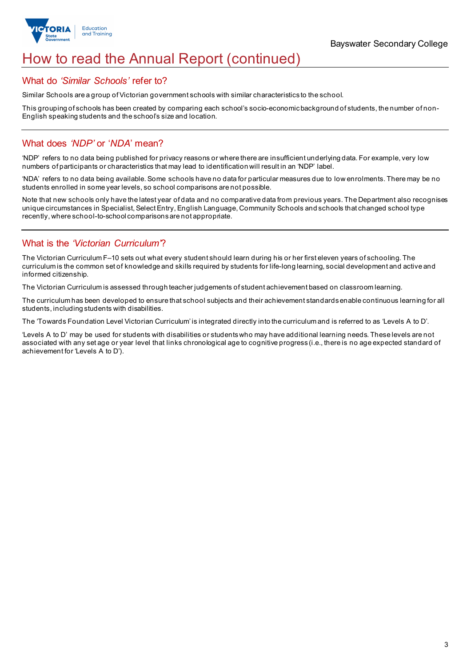

## How to read the Annual Report (continued)

#### What do *'Similar Schools'* refer to?

Similar Schools are a group of Victorian government schools with similar characteristics to the school.

This grouping of schools has been created by comparing each school's socio-economic background of students, the number of non-English speaking students and the school's size and location.

### What does *'NDP'* or '*NDA*' mean?

'NDP' refers to no data being published for privacy reasons or where there are insufficient underlying data. For example, very low numbers of participants or characteristics that may lead to identification will result in an 'NDP' label.

'NDA' refers to no data being available. Some schools have no data for particular measures due to low enrolments. There may be no students enrolled in some year levels, so school comparisons are not possible.

Note that new schools only have the latest year of data and no comparative data from previous years. The Department also recognises unique circumstances in Specialist, Select Entry, English Language, Community Schools and schools that changed school type recently, where school-to-school comparisons are not appropriate.

## What is the *'Victorian Curriculum'*?

The Victorian Curriculum F–10 sets out what every student should learn during his or her first eleven years of schooling. The curriculum is the common set of knowledge and skills required by students for life-long learning, social development and active and informed citizenship.

The Victorian Curriculum is assessed through teacher judgements of student achievement based on classroom learning.

The curriculum has been developed to ensure that school subjects and their achievement standards enable continuous learning for all students, including students with disabilities.

The 'Towards Foundation Level Victorian Curriculum' is integrated directly into the curriculum and is referred to as 'Levels A to D'.

'Levels A to D' may be used for students with disabilities or students who may have additional learning needs. These levels are not associated with any set age or year level that links chronological age to cognitive progress (i.e., there is no age expected standard of achievement for 'Levels A to D').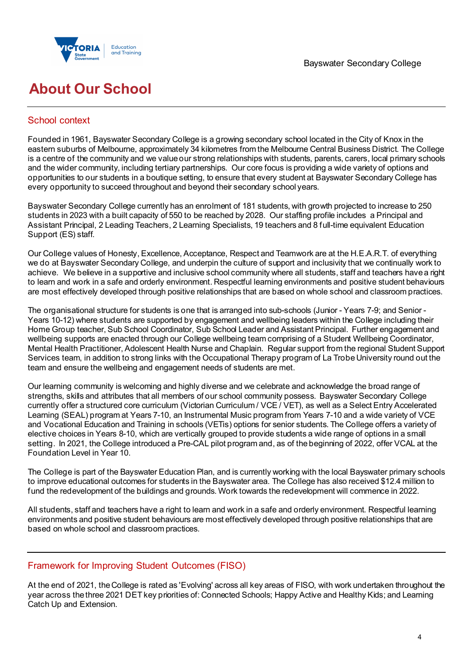



## **About Our School**

## School context

Founded in 1961, Bayswater Secondary College is a growing secondary school located in the City of Knox in the eastern suburbs of Melbourne, approximately 34 kilometres from the Melbourne Central Business District. The College is a centre of the community and we value our strong relationships with students, parents, carers, local primary schools and the wider community, including tertiary partnerships. Our core focus is providing a wide variety of options and opportunities to our students in a boutique setting, to ensure that every student at Bayswater Secondary College has every opportunity to succeed throughout and beyond their secondary school years.

Bayswater Secondary College currently has an enrolment of 181 students, with growth projected to increase to 250 students in 2023 with a built capacity of 550 to be reached by 2028. Our staffing profile includes a Principal and Assistant Principal, 2 Leading Teachers, 2 Learning Specialists, 19 teachers and 8 full-time equivalent Education Support (ES) staff.

Our College values of Honesty, Excellence, Acceptance, Respect and Teamwork are at the H.E.A.R.T. of everything we do at Bayswater Secondary College, and underpin the culture of support and inclusivity that we continually work to achieve. We believe in a supportive and inclusive school community where all students, staff and teachers have a right to learn and work in a safe and orderly environment. Respectful learning environments and positive student behaviours are most effectively developed through positive relationships that are based on whole school and classroom practices.

The organisational structure for students is one that is arranged into sub-schools (Junior - Years 7-9; and Senior - Years 10-12) where students are supported by engagement and wellbeing leaders within the College including their Home Group teacher, Sub School Coordinator, Sub School Leader and Assistant Principal. Further engagement and wellbeing supports are enacted through our College wellbeing team comprising of a Student Wellbeing Coordinator, Mental Health Practitioner, Adolescent Health Nurse and Chaplain. Regular support from the regional Student Support Services team, in addition to strong links with the Occupational Therapy program of La Trobe University round out the team and ensure the wellbeing and engagement needs of students are met.

Our learning community is welcoming and highly diverse and we celebrate and acknowledge the broad range of strengths, skills and attributes that all members of our school community possess. Bayswater Secondary College currently offer a structured core curriculum (Victorian Curriculum / VCE / VET), as well as a Select Entry Accelerated Learning (SEAL) program at Years 7-10, an Instrumental Music program from Years 7-10 and a wide variety of VCE and Vocational Education and Training in schools (VETis) options for senior students. The College offers a variety of elective choices in Years 8-10, which are vertically grouped to provide students a wide range of options in a small setting. In 2021, the College introduced a Pre-CAL pilot program and, as of the beginning of 2022, offer VCAL at the Foundation Level in Year 10.

The College is part of the Bayswater Education Plan, and is currently working with the local Bayswater primary schools to improve educational outcomes for students in the Bayswater area. The College has also received \$12.4 million to fund the redevelopment of the buildings and grounds. Work towards the redevelopment will commence in 2022.

All students, staff and teachers have a right to learn and work in a safe and orderly environment. Respectful learning environments and positive student behaviours are most effectively developed through positive relationships that are based on whole school and classroom practices.

## Framework for Improving Student Outcomes (FISO)

At the end of 2021, the College is rated as 'Evolving' across all key areas of FISO, with work undertaken throughout the year across the three 2021 DET key priorities of: Connected Schools; Happy Active and Healthy Kids; and Learning Catch Up and Extension.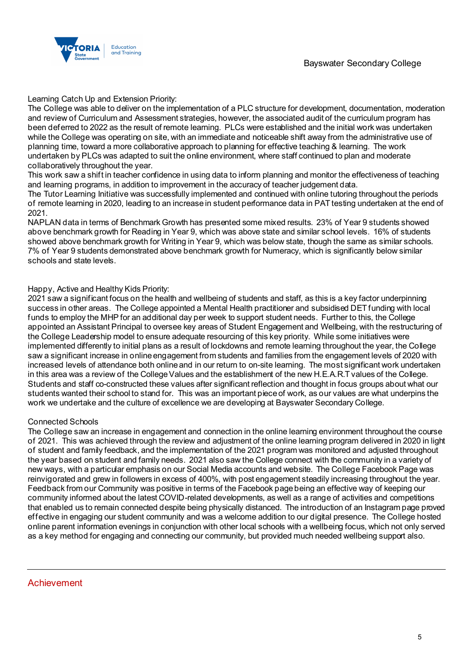

Learning Catch Up and Extension Priority:

The College was able to deliver on the implementation of a PLC structure for development, documentation, moderation and review of Curriculum and Assessment strategies, however, the associated audit of the curriculum program has been deferred to 2022 as the result of remote learning. PLCs were established and the initial work was undertaken while the College was operating on site, with an immediate and noticeable shift away from the administrative use of planning time, toward a more collaborative approach to planning for effective teaching & learning. The work undertaken by PLCs was adapted to suit the online environment, where staff continued to plan and moderate collaboratively throughout the year.

This work saw a shift in teacher confidence in using data to inform planning and monitor the effectiveness of teaching and learning programs, in addition to improvement in the accuracy of teacher judgement data.

The Tutor Learning Initiative was successfully implemented and continued with online tutoring throughout the periods of remote learning in 2020, leading to an increase in student performance data in PAT testing undertaken at the end of 2021.

NAPLAN data in terms of Benchmark Growth has presented some mixed results. 23% of Year 9 students showed above benchmark growth for Reading in Year 9, which was above state and similar school levels. 16% of students showed above benchmark growth for Writing in Year 9, which was below state, though the same as similar schools. 7% of Year 9 students demonstrated above benchmark growth for Numeracy, which is significantly below similar schools and state levels.

#### Happy, Active and Healthy Kids Priority:

2021 saw a significant focus on the health and wellbeing of students and staff, as this is a key factor underpinning success in other areas. The College appointed a Mental Health practitioner and subsidised DET funding with local funds to employ the MHP for an additional day per week to support student needs. Further to this, the College appointed an Assistant Principal to oversee key areas of Student Engagement and Wellbeing, with the restructuring of the College Leadership model to ensure adequate resourcing of this key priority. While some initiatives were implemented differently to initial plans as a result of lockdowns and remote learning throughout the year, the College saw a significant increase in online engagement from students and families from the engagement levels of 2020 with increased levels of attendance both online and in our return to on-site learning. The most significant work undertaken in this area was a review of the College Values and the establishment of the new H.E.A.R.T values of the College. Students and staff co-constructed these values after significant reflection and thought in focus groups about what our students wanted their school to stand for. This was an important piece of work, as our values are what underpins the work we undertake and the culture of excellence we are developing at Bayswater Secondary College.

#### Connected Schools

The College saw an increase in engagement and connection in the online learning environment throughout the course of 2021. This was achieved through the review and adjustment of the online learning program delivered in 2020 in light of student and family feedback, and the implementation of the 2021 program was monitored and adjusted throughout the year based on student and family needs. 2021 also saw the College connect with the community in a variety of new ways, with a particular emphasis on our Social Media accounts and website. The College Facebook Page was reinvigorated and grew in followers in excess of 400%, with post engagement steadily increasing throughout the year. Feedback from our Community was positive in terms of the Facebook page being an effective way of keeping our community informed about the latest COVID-related developments, as well as a range of activities and competitions that enabled us to remain connected despite being physically distanced. The introduction of an Instagram page proved effective in engaging our student community and was a welcome addition to our digital presence. The College hosted online parent information evenings in conjunction with other local schools with a wellbeing focus, which not only served as a key method for engaging and connecting our community, but provided much needed wellbeing support also.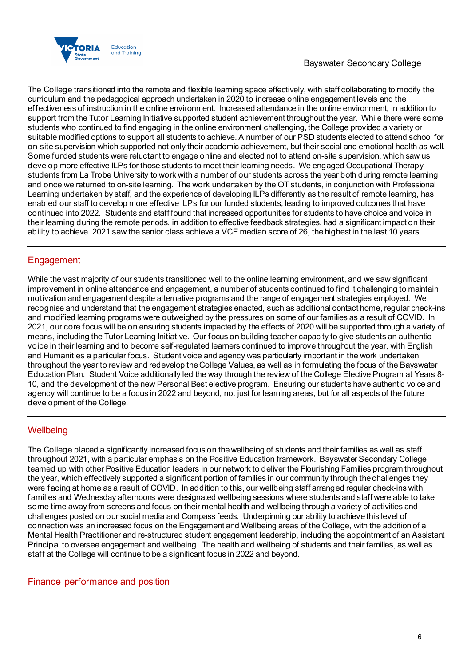

The College transitioned into the remote and flexible learning space effectively, with staff collaborating to modify the curriculum and the pedagogical approach undertaken in 2020 to increase online engagement levels and the effectiveness of instruction in the online environment. Increased attendance in the online environment, in addition to support from the Tutor Learning Initiative supported student achievement throughout the year. While there were some students who continued to find engaging in the online environment challenging, the College provided a variety or suitable modified options to support all students to achieve. A number of our PSD students elected to attend school for on-site supervision which supported not only their academic achievement, but their social and emotional health as well. Some funded students were reluctant to engage online and elected not to attend on-site supervision, which saw us develop more effective ILPs for those students to meet their learning needs. We engaged Occupational Therapy students from La Trobe University to work with a number of our students across the year both during remote learning and once we returned to on-site learning. The work undertaken by the OT students, in conjunction with Professional Learning undertaken by staff, and the experience of developing ILPs differently as the result of remote learning, has enabled our staff to develop more effective ILPs for our funded students, leading to improved outcomes that have continued into 2022. Students and staff found that increased opportunities for students to have choice and voice in their learning during the remote periods, in addition to effective feedback strategies, had a significant impact on their ability to achieve. 2021 saw the senior class achieve a VCE median score of 26, the highest in the last 10 years.

## **Engagement**

While the vast majority of our students transitioned well to the online learning environment, and we saw significant improvement in online attendance and engagement, a number of students continued to find it challenging to maintain motivation and engagement despite alternative programs and the range of engagement strategies employed. We recognise and understand that the engagement strategies enacted, such as additional contact home, regular check-ins and modified learning programs were outweighed by the pressures on some of our families as a result of COVID. In 2021, our core focus will be on ensuring students impacted by the effects of 2020 will be supported through a variety of means, including the Tutor Learning Initiative. Our focus on building teacher capacity to give students an authentic voice in their learning and to become self-regulated learners continued to improve throughout the year, with English and Humanities a particular focus. Student voice and agency was particularly important in the work undertaken throughout the year to review and redevelop the College Values, as well as in formulating the focus of the Bayswater Education Plan. Student Voice additionally led the way through the review of the College Elective Program at Years 8- 10, and the development of the new Personal Best elective program. Ensuring our students have authentic voice and agency will continue to be a focus in 2022 and beyond, not just for learning areas, but for all aspects of the future development of the College.

## **Wellbeing**

The College placed a significantly increased focus on the wellbeing of students and their families as well as staff throughout 2021, with a particular emphasis on the Positive Education framework. Bayswater Secondary College teamed up with other Positive Education leaders in our network to deliver the Flourishing Families program throughout the year, which effectively supported a significant portion of families in our community through the challenges they were facing at home as a result of COVID. In addition to this, our wellbeing staff arranged regular check-ins with families and Wednesday afternoons were designated wellbeing sessions where students and staff were able to take some time away from screens and focus on their mental health and wellbeing through a variety of activities and challenges posted on our social media and Compass feeds. Underpinning our ability to achieve this level of connection was an increased focus on the Engagement and Wellbeing areas of the College, with the addition of a Mental Health Practitioner and re-structured student engagement leadership, including the appointment of an Assistant Principal to oversee engagement and wellbeing. The health and wellbeing of students and their families, as well as staff at the College will continue to be a significant focus in 2022 and beyond.

Finance performance and position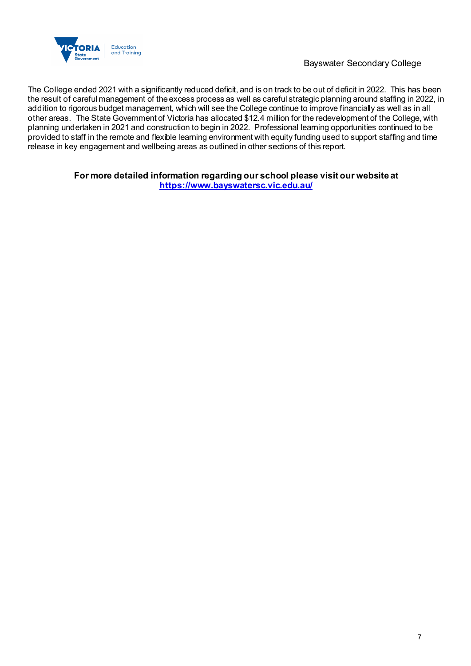

Bayswater Secondary College

The College ended 2021 with a significantly reduced deficit, and is on track to be out of deficit in 2022. This has been the result of careful management of the excess process as well as careful strategic planning around staffing in 2022, in addition to rigorous budget management, which will see the College continue to improve financially as well as in all other areas. The State Government of Victoria has allocated \$12.4 million for the redevelopment of the College, with planning undertaken in 2021 and construction to begin in 2022. Professional learning opportunities continued to be provided to staff in the remote and flexible learning environment with equity funding used to support staffing and time release in key engagement and wellbeing areas as outlined in other sections of this report.

## **For more detailed information regarding our school please visit our website at**

**<https://www.bayswatersc.vic.edu.au/>**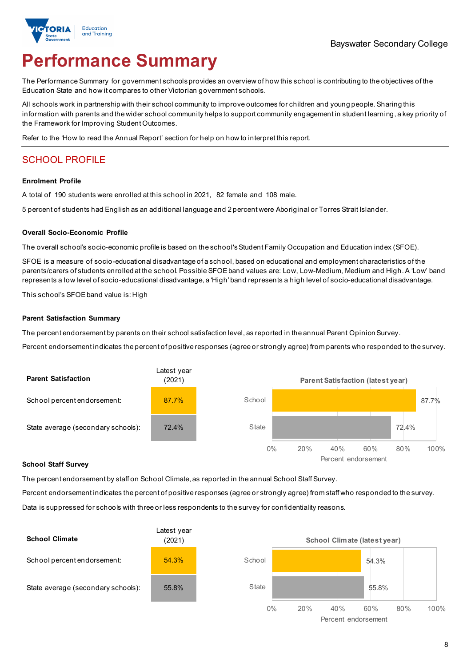

# **Performance Summary**

The Performance Summary for government schoolsprovides an overview of how this school is contributing to the objectives of the Education State and how it compares to other Victorian government schools.

All schools work in partnership with their school community to improve outcomes for children and young people. Sharing this information with parents and the wider school community helps to support community engagement in student learning, a key priority of the Framework for Improving Student Outcomes.

Refer to the 'How to read the Annual Report' section for help on how to interpret this report.

## SCHOOL PROFILE

#### **Enrolment Profile**

A total of 190 students were enrolled at this school in 2021, 82 female and 108 male.

5 percent of students had English as an additional language and 2 percent were Aboriginal or Torres Strait Islander.

#### **Overall Socio-Economic Profile**

The overall school's socio-economic profile is based on the school's Student Family Occupation and Education index (SFOE).

SFOE is a measure of socio-educational disadvantage of a school, based on educational and employment characteristics of the parents/carers of students enrolled at the school. Possible SFOE band values are: Low, Low-Medium, Medium and High. A 'Low' band represents a low level of socio-educational disadvantage, a 'High' band represents a high level of socio-educational disadvantage.

This school's SFOEband value is: High

#### **Parent Satisfaction Summary**

The percent endorsement by parents on their school satisfaction level, as reported in the annual Parent Opinion Survey.

Percent endorsement indicates the percent of positive responses (agree or strongly agree) from parents who responded to the survey.



#### **School Staff Survey**

The percent endorsement by staff on School Climate, as reported in the annual School Staff Survey.

Percent endorsement indicates the percent of positive responses (agree or strongly agree) from staff who responded to the survey.

Data is suppressed for schools with three or less respondents to the survey for confidentiality reasons.

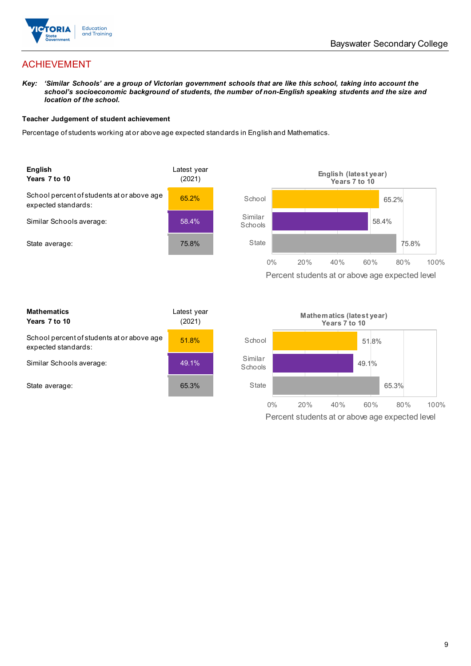

## ACHIEVEMENT

*Key: 'Similar Schools' are a group of Victorian government schools that are like this school, taking into account the school's socioeconomic background of students, the number of non-English speaking students and the size and location of the school.*

#### **Teacher Judgement of student achievement**

Percentage of students working at or above age expected standards in English and Mathematics.



Percent students at or above age expected level

| <b>Mathematics</b><br>Years 7 to 10                               | Latest year<br>(2021) |
|-------------------------------------------------------------------|-----------------------|
| School percent of students at or above age<br>expected standards: | 51.8%                 |
| Similar Schools average:                                          | 49.1%                 |
| State average:                                                    | 65.3%                 |

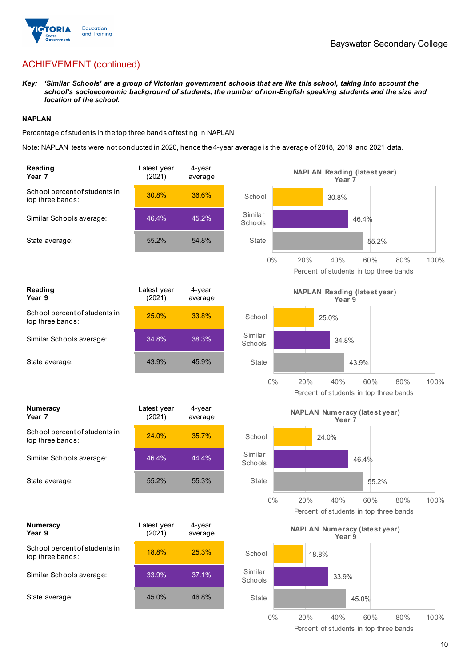

## ACHIEVEMENT (continued)

*Key: 'Similar Schools' are a group of Victorian government schools that are like this school, taking into account the school's socioeconomic background of students, the number of non-English speaking students and the size and location of the school.*

### **NAPLAN**

Percentage of students in the top three bands of testing in NAPLAN.

Note: NAPLAN tests were not conducted in 2020, hence the 4-year average is the average of 2018, 2019 and 2021 data.

| Reading<br>Year <sub>7</sub>                      | Latest year<br>(2021) | 4-year<br>average | <b>NAPLAN Reading (latest year)</b><br>Year 7                        |             |
|---------------------------------------------------|-----------------------|-------------------|----------------------------------------------------------------------|-------------|
| School percent of students in<br>top three bands: | 30.8%                 | 36.6%             | School<br>30.8%                                                      |             |
| Similar Schools average:                          | 46.4%                 | 45.2%             | Similar<br>46.4%<br>Schools                                          |             |
| State average:                                    | 55.2%                 | 54.8%             | <b>State</b><br>55.2%                                                |             |
|                                                   |                       |                   | 20%<br>40%<br>$0\%$<br>60%<br>Percent of students in top three bands | 80%<br>100% |
| Reading<br>Year 9                                 | Latest year<br>(2021) | 4-year<br>average | <b>NAPLAN Reading (latest year)</b><br>Year 9                        |             |
| School percent of students in<br>top three bands: | 25.0%                 | 33.8%             | School<br>25.0%                                                      |             |
| Similar Schools average:                          | 34.8%                 | 38.3%             | Similar<br>34.8%<br>Schools                                          |             |
| State average:                                    | 43.9%                 | 45.9%             | <b>State</b><br>43.9%                                                |             |
|                                                   |                       |                   | $0\%$<br>20%<br>40%<br>60%<br>Percent of students in top three bands | 100%<br>80% |
| <b>Numeracy</b><br>Year <sub>7</sub>              | Latest year<br>(2021) | 4-year<br>average | <b>NAPLAN Numeracy (latest year)</b><br>Year <sub>7</sub>            |             |
| School percent of students in<br>top three bands: | 24.0%                 | 35.7%             | School<br>24.0%                                                      |             |
| Similar Schools average:                          | 46.4%                 | 44.4%             | Similar<br>46.4%<br>Schools                                          |             |
| State average:                                    | 55.2%                 | 55.3%             | <b>State</b><br>55.2%                                                |             |
|                                                   |                       |                   | 0%<br>20%<br>40%<br>60%<br>Percent of students in top three bands    | 100%<br>80% |
| <b>Numeracy</b><br>Year 9                         | Latest year<br>(2021) | 4-year<br>average | <b>NAPLAN Numeracy (latest year)</b><br>Year 9                       |             |
| School percent of students in<br>top three bands: | 18.8%                 | 25.3%             | School<br>18.8%                                                      |             |
| Similar Schools average:                          | 33.9%                 | 37.1%             | Similar<br>33.9%<br>Schools                                          |             |
| State average:                                    | 45.0%                 | 46.8%             | State<br>45.0%                                                       |             |
|                                                   |                       |                   | $0\%$<br>20%<br>40%<br>60%<br>Percent of students in top three bands | 80%<br>100% |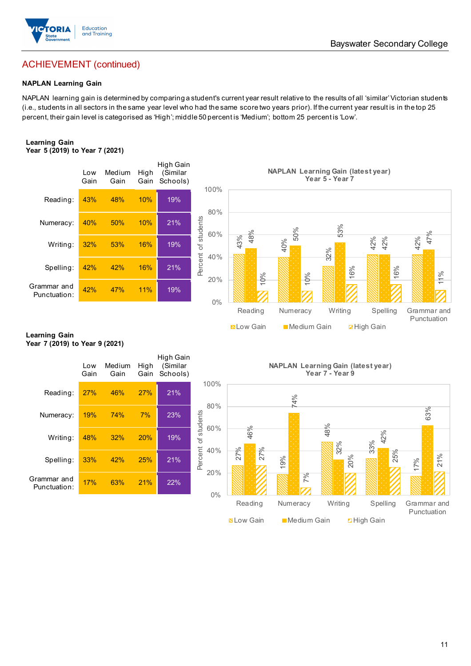

## ACHIEVEMENT (continued)

#### **NAPLAN Learning Gain**

NAPLAN learning gain is determined by comparing a student's current year result relative to the results of all 'similar' Victorian students (i.e., students in all sectors in the same year level who had the same score two years prior). If the current year result is in the top 25 percent, their gain level is categorised as 'High'; middle 50 percent is 'Medium'; bottom 25 percent is 'Low'.

#### **Learning Gain Year 5 (2019) to Year 7 (2021)**



#### **Learning Gain Year 7 (2019) to Year 9 (2021)**

|                             | Low<br>Gain | Medium<br>Gain | High<br>Gain | High Gain<br>(Similar<br>Schools) |             |
|-----------------------------|-------------|----------------|--------------|-----------------------------------|-------------|
| Reading:                    | 27%         | 46%            | 27%          | 21%                               |             |
| Numeracy:                   | 19%         | 74%            | 7%           | 23%                               | of students |
| Writing:                    | 48%         | 32%            | 20%          | 19%                               |             |
| Spelling:                   | 33%         | 42%            | 25%          | 21%                               | Percent     |
| Grammar and<br>Punctuation: | 17%         | 63%            | 21%          | 22%                               |             |

**NAPLAN Learning Gain (latest year) Year 7 - Year 9**



## Bayswater Secondary College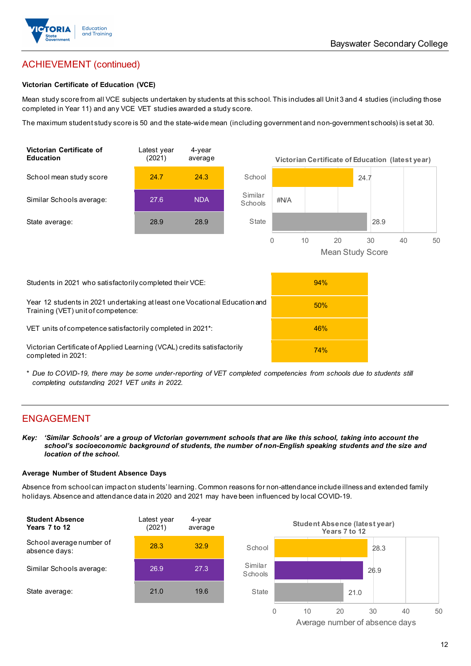

## ACHIEVEMENT (continued)

#### **Victorian Certificate of Education (VCE)**

Mean study score from all VCE subjects undertaken by students at this school. This includes all Unit 3 and 4 studies (including those completed in Year 11) and any VCE VET studies awarded a study score.

The maximum student study score is 50 and the state-wide mean (including government and non-government schools) is set at 30.



\* *Due to COVID-19, there may be some under-reporting of VET completed competencies from schools due to students still completing outstanding 2021 VET units in 2022.*

## ENGAGEMENT

*Key: 'Similar Schools' are a group of Victorian government schools that are like this school, taking into account the school's socioeconomic background of students, the number of non-English speaking students and the size and location of the school.*

#### **Average Number of Student Absence Days**

Absence from school can impact on students' learning. Common reasons for non-attendance include illness and extended family holidays. Absence and attendance data in 2020 and 2021 may have been influenced by local COVID-19.



Average number of absence days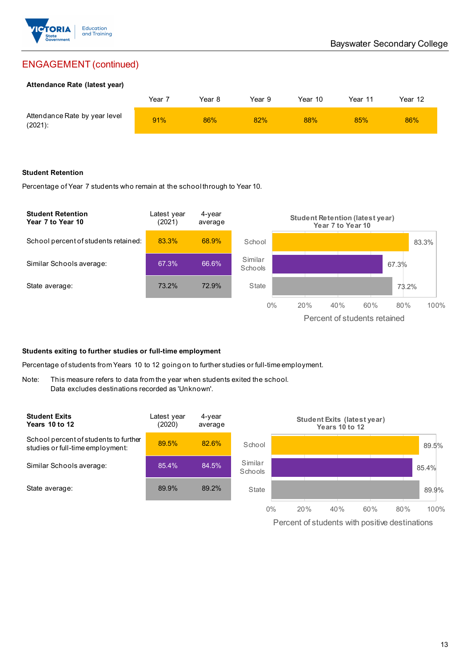

## ENGAGEMENT (continued)

#### **Attendance Rate (latest year)**

|                                             | Year | Year 8 | Year 9 | Year 10 | Year 11 | Year 12 |
|---------------------------------------------|------|--------|--------|---------|---------|---------|
| Attendance Rate by year level<br>$(2021)$ : | 91%  | 86%    | 82%    | 88%     | 85%     | 86%     |

#### **Student Retention**

Percentage of Year 7 students who remain at the school through to Year 10.



#### **Students exiting to further studies or full-time employment**

Percentage of students from Years 10 to 12 going on to further studies or full-time employment.

Note: This measure refers to data from the year when students exited the school. Data excludes destinations recorded as 'Unknown'.

| <b>Student Exits</b><br><b>Years 10 to 12</b>                             | Latest year<br>(2020) | 4-year<br>average |                    |     | Student Exits (latest year)<br>Years 10 to 12 |     |     |       |
|---------------------------------------------------------------------------|-----------------------|-------------------|--------------------|-----|-----------------------------------------------|-----|-----|-------|
| School percent of students to further<br>studies or full-time employment: | 89.5%                 | 82.6%             | School             |     |                                               |     |     | 89.5% |
| Similar Schools average:                                                  | 85.4%                 | 84.5%             | Similar<br>Schools |     |                                               |     |     | 85.4% |
| State average:                                                            | 89.9%                 | 89.2%             | State              |     |                                               |     |     | 89.9% |
|                                                                           |                       |                   | $0\%$              | 20% | 40%                                           | 60% | 80% | 100%  |

Percent of students with positive destinations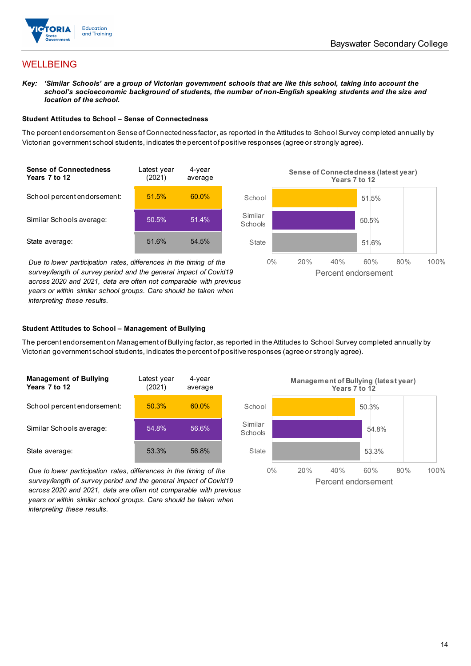

## WELLBEING

*Key: 'Similar Schools' are a group of Victorian government schools that are like this school, taking into account the school's socioeconomic background of students, the number of non-English speaking students and the size and location of the school.*

#### **Student Attitudes to School – Sense of Connectedness**

The percent endorsement on Sense of Connectedness factor, as reported in the Attitudes to School Survey completed annually by Victorian government school students, indicates the percent of positive responses (agree or strongly agree).



*Due to lower participation rates, differences in the timing of the survey/length of survey period and the general impact of Covid19 across 2020 and 2021, data are often not comparable with previous years or within similar school groups. Care should be taken when interpreting these results.*



#### **Student Attitudes to School – Management of Bullying**

The percent endorsement on Management of Bullying factor, as reported in the Attitudes to School Survey completed annually by Victorian government school students, indicates the percent of positive responses (agree or strongly agree).

| <b>Management of Bullying</b><br>Years 7 to 12 | Latest year<br>(2021) | 4-year<br>average |  |
|------------------------------------------------|-----------------------|-------------------|--|
| School percent endorsement:                    | 50.3%                 | 60.0%             |  |
| Similar Schools average:                       | 54.8%                 | 56.6%             |  |
| State average:                                 | 53.3%                 | 56.8%             |  |

*Due to lower participation rates, differences in the timing of the survey/length of survey period and the general impact of Covid19 across 2020 and 2021, data are often not comparable with previous years or within similar school groups. Care should be taken when interpreting these results.*

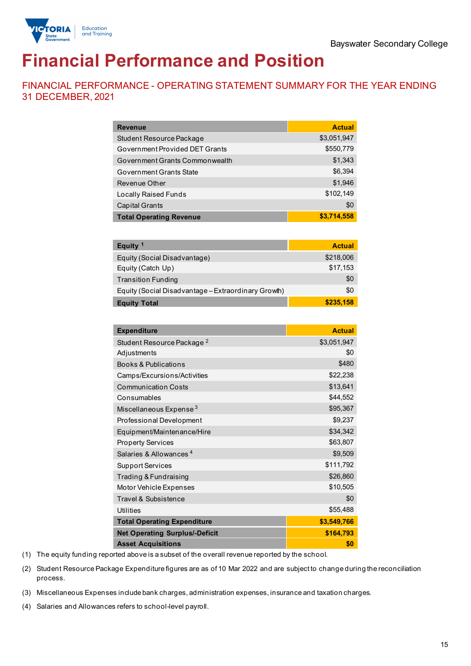

# **Financial Performance and Position**

FINANCIAL PERFORMANCE - OPERATING STATEMENT SUMMARY FOR THE YEAR ENDING 31 DECEMBER, 2021

| <b>Revenue</b>                                      | <b>Actual</b> |
|-----------------------------------------------------|---------------|
| Student Resource Package                            | \$3,051,947   |
| Government Provided DET Grants                      | \$550,779     |
| Government Grants Commonwealth                      | \$1,343       |
| Government Grants State                             | \$6,394       |
| Revenue Other                                       | \$1,946       |
| <b>Locally Raised Funds</b>                         | \$102,149     |
| <b>Capital Grants</b>                               | \$0           |
| <b>Total Operating Revenue</b>                      | \$3,714,558   |
|                                                     |               |
| Equity <sup>1</sup>                                 | <b>Actual</b> |
| Equity (Social Disadvantage)                        | \$218,006     |
| Equity (Catch Up)                                   | \$17,153      |
| <b>Transition Funding</b>                           | \$0           |
| Equity (Social Disadvantage - Extraordinary Growth) | \$0           |
| <b>Equity Total</b>                                 | \$235,158     |
|                                                     |               |
| <b>Expenditure</b>                                  | <b>Actual</b> |
| Student Resource Package <sup>2</sup>               | \$3,051,947   |
| Adjustments                                         | \$0           |
| <b>Books &amp; Publications</b>                     | \$480         |
| Camps/Excursions/Activities                         | \$22,238      |
| <b>Communication Costs</b>                          | \$13,641      |
| Consumables                                         | \$44,552      |
| Miscellaneous Expense <sup>3</sup>                  | \$95,367      |
| Professional Development                            | \$9,237       |
| Equipment/Maintenance/Hire                          | \$34,342      |
| <b>Property Services</b>                            | \$63,807      |
| Salaries & Allowances <sup>4</sup>                  | \$9,509       |
| <b>Support Services</b>                             | \$111,792     |
| Trading & Fundraising                               | \$26,860      |
| Motor Vehicle Expenses                              | \$10,505      |
| Travel & Subsistence                                | \$0           |
| <b>Utilities</b>                                    | \$55,488      |
| <b>Total Operating Expenditure</b>                  | \$3,549,766   |
| <b>Net Operating Surplus/-Deficit</b>               | \$164,793     |
| <b>Asset Acquisitions</b>                           | \$0           |

(1) The equity funding reported above is a subset of the overall revenue reported by the school.

(2) Student Resource Package Expenditure figures are as of 10 Mar 2022 and are subject to change during the reconciliation process.

(3) Miscellaneous Expenses include bank charges, administration expenses, insurance and taxation charges.

(4) Salaries and Allowances refers to school-level payroll.